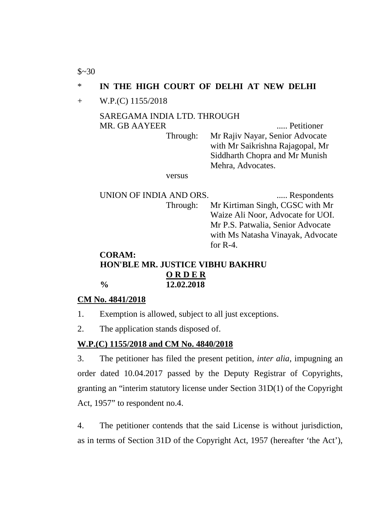$$~30$ 

## \* **IN THE HIGH COURT OF DELHI AT NEW DELHI**

#### + W.P.(C) 1155/2018

#### SAREGAMA INDIA LTD. THROUGH MR. GB AAYEER ..... Petitioner

Through: Mr Rajiv Nayar, Senior Advocate with Mr Saikrishna Rajagopal, Mr Siddharth Chopra and Mr Munish Mehra, Advocates.

versus

UNION OF INDIA AND ORS. ...... Respondents Through: Mr Kirtiman Singh, CGSC with Mr Waize Ali Noor, Advocate for UOI. Mr P.S. Patwalia, Senior Advocate with Ms Natasha Vinayak, Advocate for R-4. **CORAM:**

# **HON'BLE MR. JUSTICE VIBHU BAKHRU O R D E R % 12.02.2018**

### **CM No. 4841/2018**

- 1. Exemption is allowed, subject to all just exceptions.
- 2. The application stands disposed of.

### **W.P.(C) 1155/2018 and CM No. 4840/2018**

3. The petitioner has filed the present petition, *inter alia*, impugning an order dated 10.04.2017 passed by the Deputy Registrar of Copyrights, granting an "interim statutory license under Section 31D(1) of the Copyright Act, 1957" to respondent no.4.

4. The petitioner contends that the said License is without jurisdiction, as in terms of Section 31D of the Copyright Act, 1957 (hereafter 'the Act'),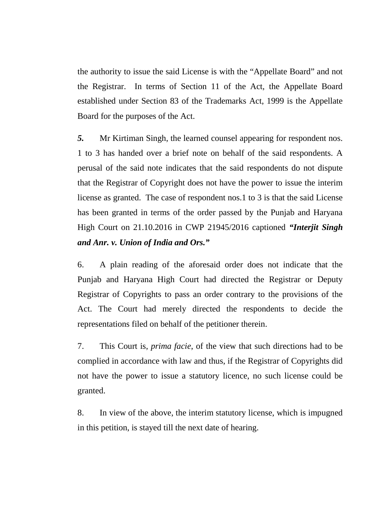the authority to issue the said License is with the "Appellate Board" and not the Registrar. In terms of Section 11 of the Act, the Appellate Board established under Section 83 of the Trademarks Act, 1999 is the Appellate Board for the purposes of the Act.

*5.* Mr Kirtiman Singh, the learned counsel appearing for respondent nos. 1 to 3 has handed over a brief note on behalf of the said respondents. A perusal of the said note indicates that the said respondents do not dispute that the Registrar of Copyright does not have the power to issue the interim license as granted. The case of respondent nos.1 to 3 is that the said License has been granted in terms of the order passed by the Punjab and Haryana High Court on 21.10.2016 in CWP 21945/2016 captioned *"Interjit Singh and Anr. v. Union of India and Ors."*

6. A plain reading of the aforesaid order does not indicate that the Punjab and Haryana High Court had directed the Registrar or Deputy Registrar of Copyrights to pass an order contrary to the provisions of the Act. The Court had merely directed the respondents to decide the representations filed on behalf of the petitioner therein.

7. This Court is, *prima facie*, of the view that such directions had to be complied in accordance with law and thus, if the Registrar of Copyrights did not have the power to issue a statutory licence, no such license could be granted.

8. In view of the above, the interim statutory license, which is impugned in this petition, is stayed till the next date of hearing.